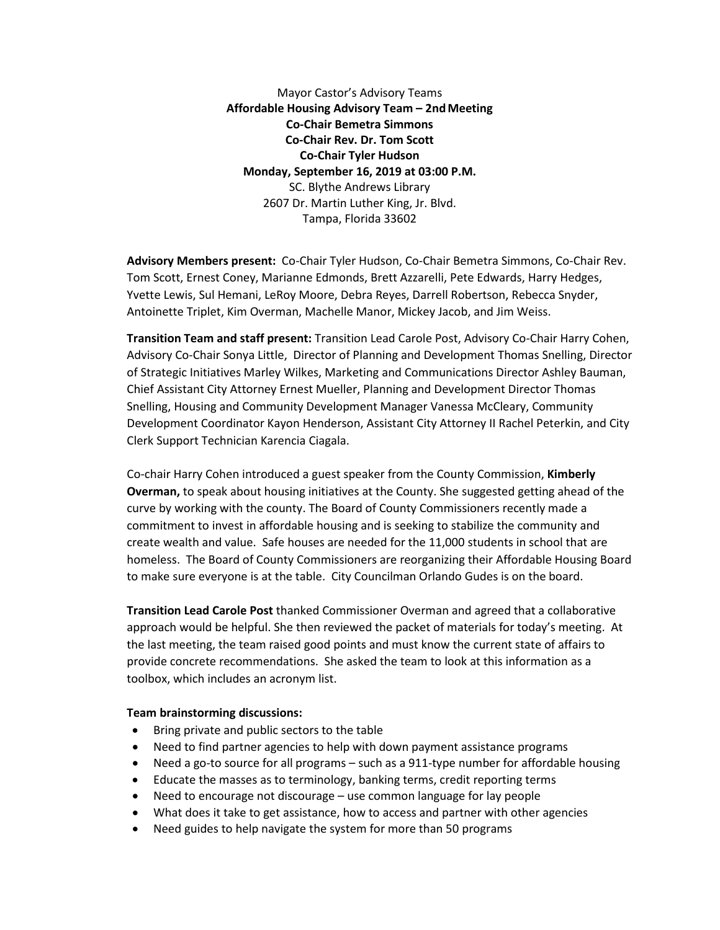Mayor Castor's Advisory Teams **Affordable Housing Advisory Team – 2ndMeeting Co-Chair Bemetra Simmons Co-Chair Rev. Dr. Tom Scott Co-Chair Tyler Hudson Monday, September 16, 2019 at 03:00 P.M.** SC. Blythe Andrews Library 2607 Dr. Martin Luther King, Jr. Blvd. Tampa, Florida 33602

**Advisory Members present:** Co-Chair Tyler Hudson, Co-Chair Bemetra Simmons, Co-Chair Rev. Tom Scott, Ernest Coney, Marianne Edmonds, Brett Azzarelli, Pete Edwards, Harry Hedges, Yvette Lewis, Sul Hemani, LeRoy Moore, Debra Reyes, Darrell Robertson, Rebecca Snyder, Antoinette Triplet, Kim Overman, Machelle Manor, Mickey Jacob, and Jim Weiss.

**Transition Team and staff present:** Transition Lead Carole Post, Advisory Co-Chair Harry Cohen, Advisory Co-Chair Sonya Little, Director of Planning and Development Thomas Snelling, Director of Strategic Initiatives Marley Wilkes, Marketing and Communications Director Ashley Bauman, Chief Assistant City Attorney Ernest Mueller, Planning and Development Director Thomas Snelling, Housing and Community Development Manager Vanessa McCleary, Community Development Coordinator Kayon Henderson, Assistant City Attorney II Rachel Peterkin, and City Clerk Support Technician Karencia Ciagala.

Co-chair Harry Cohen introduced a guest speaker from the County Commission, **Kimberly Overman,** to speak about housing initiatives at the County. She suggested getting ahead of the curve by working with the county. The Board of County Commissioners recently made a commitment to invest in affordable housing and is seeking to stabilize the community and create wealth and value. Safe houses are needed for the 11,000 students in school that are homeless. The Board of County Commissioners are reorganizing their Affordable Housing Board to make sure everyone is at the table. City Councilman Orlando Gudes is on the board.

**Transition Lead Carole Post** thanked Commissioner Overman and agreed that a collaborative approach would be helpful. She then reviewed the packet of materials for today's meeting. At the last meeting, the team raised good points and must know the current state of affairs to provide concrete recommendations. She asked the team to look at this information as a toolbox, which includes an acronym list.

## **Team brainstorming discussions:**

- Bring private and public sectors to the table
- Need to find partner agencies to help with down payment assistance programs
- Need a go-to source for all programs such as a 911-type number for affordable housing
- Educate the masses as to terminology, banking terms, credit reporting terms
- Need to encourage not discourage use common language for lay people
- What does it take to get assistance, how to access and partner with other agencies
- Need guides to help navigate the system for more than 50 programs